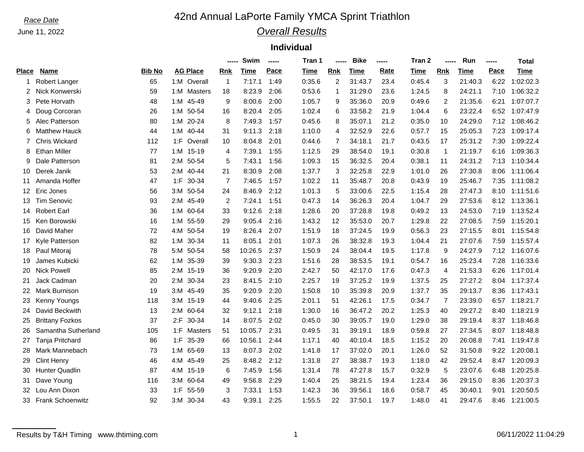# Race Date **Annual LaPorte Family YMCA Sprint Triathlon**

## *Overall Results*

### **Individual**

|              |                         |               |                 |                |                | Swim    | ----- | Tran 1 | ----- | <b>Bike</b> | -----       | Tran 2 |                | Run     | ----- | Total       |
|--------------|-------------------------|---------------|-----------------|----------------|----------------|---------|-------|--------|-------|-------------|-------------|--------|----------------|---------|-------|-------------|
| <b>Place</b> | <b>Name</b>             | <b>Bib No</b> | <b>AG Place</b> |                | Rnk            | Time    | Pace  | Time   | Rnk   | <b>Time</b> | <b>Rate</b> | Time   | Rnk            | Time    | Pace  | <b>Time</b> |
| -1           | Robert Langer           | 65            | 1:M Overall     |                | $\mathbf{1}$   | 7:17.1  | 1:49  | 0:35.6 | 2     | 31:43.7     | 23.4        | 0:45.4 | 3              | 21:40.3 | 6:22  | 1:02:02.3   |
| 2            | Nick Konwerski          | 59            | 1:M Masters     |                | 18             | 8:23.9  | 2:06  | 0:53.6 | 1     | 31:29.0     | 23.6        | 1:24.5 | 8              | 24:21.1 | 7:10  | 1:06:32.2   |
| 3            | Pete Horvath            | 48            | 1:M             | 45-49          | 9              | 8:00.6  | 2:00  | 1:05.7 | 9     | 35:36.0     | 20.9        | 0:49.6 | 2              | 21:35.6 | 6:21  | 1:07:07.7   |
| 4            | Doug Corcoran           | 26            | 1:M             | 50-54          | 16             | 8:20.4  | 2:05  | 1:02.4 | 6     | 33:58.2     | 21.9        | 1:04.4 | 6              | 23:22.4 | 6:52  | 1:07:47.9   |
| 5            | Alec Patterson          | 80            | 1:M             | $20 - 24$      | 8              | 7:49.3  | 1:57  | 0:45.6 | 8     | 35:07.1     | 21.2        | 0:35.0 | 10             | 24:29.0 | 7:12  | 1:08:46.2   |
| 6            | <b>Matthew Hauck</b>    | 44            | 1:M             | 40-44          | 31             | 9:11.3  | 2:18  | 1:10.0 | 4     | 32:52.9     | 22.6        | 0:57.7 | 15             | 25:05.3 | 7:23  | 1:09:17.4   |
|              | <b>Chris Wickard</b>    | 112           | 1: F            | Overall        | 10             | 8:04.8  | 2:01  | 0:44.6 | 7     | 34:18.1     | 21.7        | 0:43.5 | 17             | 25:31.2 | 7:30  | 1:09:22.4   |
| 8            | <b>Ethan Miller</b>     | 77            | 1:M 15-19       |                | 4              | 7:39.1  | 1:55  | 1:12.5 | 29    | 38:54.0     | 19.1        | 0:30.8 | $\mathbf 1$    | 21:19.7 | 6:16  | 1:09:36.3   |
| 9            | Dale Patterson          | 81            | 2:M             | 50-54          | 5              | 7:43.1  | 1:56  | 1:09.3 | 15    | 36:32.5     | 20.4        | 0:38.1 | 11             | 24:31.2 | 7:13  | 1:10:34.4   |
| 10           | Derek Janik             | 53            | 2:M             | $40 - 44$      | 21             | 8:30.9  | 2:08  | 1:37.7 | 3     | 32:25.8     | 22.9        | 1:01.0 | 26             | 27:30.8 | 8:06  | 1:11:06.4   |
| 11           | Amanda Hoffer           | 47            | $1:$ F          | $30 - 34$      | $\overline{7}$ | 7:46.5  | 1:57  | 1:02.2 | 11    | 35:48.7     | 20.8        | 0:43.9 | 19             | 25:46.7 | 7:35  | 1:11:08.2   |
| 12           | Eric Jones              | 56            | 3: M            | 50-54          | 24             | 8:46.9  | 2:12  | 1:01.3 | 5     | 33:00.6     | 22.5        | 1:15.4 | 28             | 27:47.3 | 8:10  | 1:11:51.6   |
| 13           | <b>Tim Senovic</b>      | 93            | 2:M 45-49       |                | 2              | 7:24.1  | 1:51  | 0:47.3 | 14    | 36:26.3     | 20.4        | 1:04.7 | 29             | 27:53.6 | 8:12  | 1:13:36.1   |
| 14           | <b>Robert Earl</b>      | 36            | 1:M 60-64       |                | 33             | 9:12.6  | 2:18  | 1:28.6 | 20    | 37:28.8     | 19.8        | 0:49.2 | 13             | 24:53.0 | 7:19  | 1:13:52.4   |
| 15           | Ken Borowski            | 16            | 1:M 55-59       |                | 29             | 9:05.4  | 2:16  | 1:43.2 | 12    | 35:53.0     | 20.7        | 1:29.8 | 22             | 27:08.5 | 7:59  | 1:15:20.1   |
| 16           | David Maher             | 72            | 4:M 50-54       |                | 19             | 8:26.4  | 2:07  | 1:51.9 | 18    | 37:24.5     | 19.9        | 0:56.3 | 23             | 27:15.5 | 8:01  | 1:15:54.8   |
| 17           | Kyle Patterson          | 82            | 1:M             | 30-34          | 11             | 8:05.1  | 2:01  | 1:07.3 | 26    | 38:32.8     | 19.3        | 1:04.4 | 21             | 27:07.6 | 7:59  | 1:15:57.4   |
| 18           | Paul Mitoraj            | 78            | 5:M             | 50-54          | 58             | 10:26.5 | 2:37  | 1:50.9 | 24    | 38:04.4     | 19.5        | 1:17.8 | 9              | 24:27.9 | 7:12  | 1:16:07.6   |
| 19           | James Kubicki           | 62            | 1:M             | 35-39          | 39             | 9:30.3  | 2:23  | 1:51.6 | 28    | 38:53.5     | 19.1        | 0:54.7 | 16             | 25:23.4 | 7:28  | 1:16:33.6   |
| 20           | <b>Nick Powell</b>      | 85            | 2:M             | 15-19          | 36             | 9:20.9  | 2:20  | 2:42.7 | 50    | 42:17.0     | 17.6        | 0:47.3 | $\overline{4}$ | 21:53.3 | 6:26  | 1:17:01.4   |
| 21           | Jack Cadman             | 20            | 2:M             | 30-34          | 23             | 8:41.5  | 2:10  | 2:25.7 | 19    | 37:25.2     | 19.9        | 1:37.5 | 25             | 27:27.2 | 8:04  | 1:17:37.4   |
| 22           | Mark Burnison           | 19            | 3:M 45-49       |                | 35             | 9:20.9  | 2:20  | 1:50.8 | 10    | 35:39.8     | 20.9        | 1:37.7 | 35             | 29:13.7 | 8:36  | 1:17:43.1   |
| 23           | Kenny Youngs            | 118           | 3:M 15-19       |                | 44             | 9:40.6  | 2:25  | 2:01.1 | 51    | 42:26.1     | 17.5        | 0:34.7 | $\overline{7}$ | 23:39.0 | 6:57  | 1:18:21.7   |
| 24           | David Beckwith          | 13            | 2:M             | 60-64          | 32             | 9:12.1  | 2:18  | 1:30.0 | 16    | 36:47.2     | 20.2        | 1:25.3 | 40             | 29:27.2 | 8:40  | 1:18:21.9   |
| 25           | <b>Brittany Fozkos</b>  | 37            | $2:$ F          | $30 - 34$      | 14             | 8:07.5  | 2:02  | 0:45.0 | 30    | 39:05.7     | 19.0        | 1:29.0 | 38             | 29:19.4 | 8:37  | 1:18:46.8   |
| 26           | Samantha Sutherland     | 105           | $1:$ F          | <b>Masters</b> | 51             | 10:05.7 | 2:31  | 0:49.5 | 31    | 39:19.1     | 18.9        | 0:59.8 | 27             | 27:34.5 | 8:07  | 1:18:48.8   |
| 27           | Tanja Pritchard         | 86            | $1:$ F          | 35-39          | 66             | 10:56.1 | 2:44  | 1:17.1 | 40    | 40:10.4     | 18.5        | 1:15.2 | 20             | 26:08.8 | 7:41  | 1:19:47.8   |
| 28           | Mark Mannebach          | 73            | 1:M 65-69       |                | 13             | 8:07.3  | 2:02  | 1:41.8 | 17    | 37:02.0     | 20.1        | 1:26.0 | 52             | 31:50.8 | 9:22  | 1:20:08.1   |
| 29           | <b>Clint Henry</b>      | 46            | 4:M 45-49       |                | 25             | 8:48.2  | 2:12  | 1:31.8 | 27    | 38:38.7     | 19.3        | 1:18.0 | 42             | 29:52.4 | 8:47  | 1:20:09.3   |
| 30           | <b>Hunter Quadlin</b>   | 87            | 4:M 15-19       |                | 6              | 7:45.9  | 1:56  | 1:31.4 | 78    | 47:27.8     | 15.7        | 0:32.9 | 5              | 23:07.6 | 6:48  | 1:20:25.8   |
| 31           | Dave Young              | 116           | 3:M 60-64       |                | 49             | 9:56.8  | 2:29  | 1:40.4 | 25    | 38:21.5     | 19.4        | 1:23.4 | 36             | 29:15.0 | 8:36  | 1:20:37.3   |
| 32           | Lou Ann Dixon           | 33            | $1:$ F          | 55-59          | 3              | 7:33.1  | 1:53  | 1:42.3 | 36    | 39:56.1     | 18.6        | 0:58.7 | 45             | 30:40.1 | 9:01  | 1:20:50.5   |
| 33           | <b>Frank Schoenwitz</b> | 92            | 3:M             | 30-34          | 43             | 9:39.1  | 2:25  | 1:55.5 | 22    | 37:50.1     | 19.7        | 1:48.0 | 41             | 29:47.6 | 8:46  | 1:21:00.5   |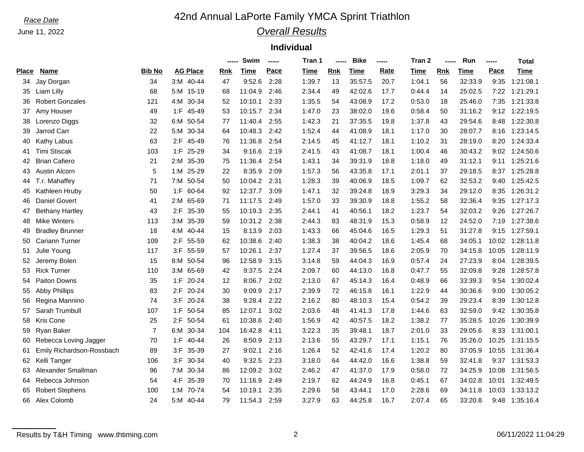# *Race Date* **42nd Annual LaPorte Family YMCA Sprint Triathlon**

## *Overall Results*

### **Individual**

|       |                           |                |                 |           |     | Swim    | ----- | Tran 1 | -----      | <b>Bike</b> | -----       | Tran 2 |     | Run         | ----- | Total          |
|-------|---------------------------|----------------|-----------------|-----------|-----|---------|-------|--------|------------|-------------|-------------|--------|-----|-------------|-------|----------------|
| Place | <b>Name</b>               | Bib No         | <b>AG Place</b> |           | Rnk | Time    | Pace  | Time   | <b>Rnk</b> | Time        | <b>Rate</b> | Time   | Rnk | <b>Time</b> | Pace  | Time           |
| 34    | Jay Dorgan                | 34             | 3:M 40-44       |           | 47  | 9:52.6  | 2:28  | 1:39.7 | 13         | 35:57.5     | 20.7        | 1:04.1 | 56  | 32:33.9     | 9:35  | 1:21:08.1      |
| 35    | Liam Lilly                | 68             | 5:M 15-19       |           | 68  | 11:04.9 | 2:46  | 2:34.4 | 49         | 42:02.6     | 17.7        | 0:44.4 | 14  | 25:02.5     | 7:22  | 1:21:29.1      |
| 36    | <b>Robert Gonzales</b>    | 121            | 4:M             | 30-34     | 52  | 10:10.1 | 2:33  | 1:35.5 | 54         | 43:08.9     | 17.2        | 0:53.0 | 18  | 25:46.0     | 7:35  | 1:21:33.8      |
| 37    | Amy Houser                | 49             | $1:$ F          | 45-49     | 53  | 10:15.7 | 2:34  | 1:47.0 | 23         | 38:02.0     | 19.6        | 0:58.4 | 50  | 31:16.2     | 9:12  | 1:22:19.5      |
| 38    | Lorenzo Diggs             | 32             | 6:M             | 50-54     | 77  | 11:40.4 | 2:55  | 1:42.3 | 21         | 37:35.5     | 19.8        | 1:37.8 | 43  | 29:54.6     | 8:48  | 1:22:30.8      |
| 39    | Jarrod Carr               | 22             | 5:M             | 30-34     | 64  | 10:48.3 | 2:42  | 1:52.4 | 44         | 41:08.9     | 18.1        | 1:17.0 | 30  | 28:07.7     | 8:16  | 1:23:14.5      |
| 40    | Kathy Labus               | 63             | 2: F            | 45-49     | 76  | 11:36.8 | 2:54  | 2:14.5 | 45         | 41:12.7     | 18.1        | 1:10.2 | 31  | 28:19.0     | 8:20  | 1:24:33.4      |
| 41    | <b>Timi Stiscak</b>       | 103            | 1: F            | 25-29     | 34  | 9:16.6  | 2:19  | 2:41.5 | 43         | 41:08.7     | 18.1        | 1:00.4 | 46  | 30:43.2     | 9:02  | 1:24:50.6      |
| 42    | <b>Brian Cafiero</b>      | 21             | 2:M             | 35-39     | 75  | 11:36.4 | 2:54  | 1:43.1 | 34         | 39:31.9     | 18.8        | 1:18.0 | 49  | 31:12.1     | 9:11  | 1:25:21.6      |
| 43    | Austin Alcorn             | 5              | 1:M             | 25-29     | 22  | 8:35.9  | 2:09  | 1:57.3 | 56         | 43:35.8     | 17.1        | 2:01.1 | 37  | 29:18.5     | 8:37  | 1:25:28.8      |
| 44    | T.r. Mahaffey             | 71             | 7:M             | 50-54     | 50  | 10:04.2 | 2:31  | 1:28.3 | 39         | 40:06.9     | 18.5        | 1:09.7 | 62  | 32:53.2     | 9:40  | 1:25:42.5      |
| 45    | Kathleen Hruby            | 50             | 1: F            | 60-64     | 92  | 12:37.7 | 3:09  | 1:47.1 | 32         | 39:24.8     | 18.9        | 3:29.3 | 34  | 29:12.0     | 8:35  | 1:26:31.2      |
| 46    | <b>Daniel Govert</b>      | 41             | 2:M             | 65-69     | 71  | 11:17.5 | 2:49  | 1:57.0 | 33         | 39:30.9     | 18.8        | 1:55.2 | 58  | 32:36.4     | 9:35  | 1:27:17.3      |
| 47    | <b>Bethany Hartley</b>    | 43             | $2:$ F          | 35-39     | 55  | 10:19.3 | 2:35  | 2:44.1 | 41         | 40:56.1     | 18.2        | 1:23.7 | 54  | 32:03.2     | 9:26  | 1:27:26.7      |
| 48    | <b>Mike Winters</b>       | 113            | 3:M 35-39       |           | 59  | 10:31.2 | 2:38  | 2:44.3 | 83         | 48:31.9     | 15.3        | 0:58.9 | 12  | 24:52.0     | 7:19  | 1:27:38.6      |
| 49    | <b>Bradley Brunner</b>    | 18             | 4:M             | 40-44     | 15  | 8:13.9  | 2:03  | 1:43.3 | 66         | 45:04.6     | 16.5        | 1:29.3 | 51  | 31:27.8     |       | 9:15 1:27:59.1 |
| 50    | Cariann Turner            | 109            | 2:F 55-59       |           | 62  | 10:38.6 | 2:40  | 1:38.3 | 38         | 40:04.2     | 18.6        | 1:45.4 | 68  | 34:05.1     | 10:02 | 1:28:11.8      |
| 51    | Julie Young               | 117            | $3:$ F          | 55-59     | 57  | 10:26.1 | 2:37  | 1:27.4 | 37         | 39:56.5     | 18.6        | 2:05.9 | 70  | 34:15.8     | 10:05 | 1:28:11.9      |
| 52    | Jeremy Bolen              | 15             | 8:M             | 50-54     | 96  | 12:58.9 | 3:15  | 3:14.8 | 59         | 44:04.3     | 16.9        | 0:57.4 | 24  | 27:23.9     | 8:04  | 1:28:39.5      |
| 53    | <b>Rick Turner</b>        | 110            | 3:M             | 65-69     | 42  | 9:37.5  | 2:24  | 2:09.7 | 60         | 44:13.0     | 16.8        | 0:47.7 | 55  | 32:09.8     | 9:28  | 1:28:57.8      |
| 54    | <b>Paiton Downs</b>       | 35             | $1:$ F          | 20-24     | 12  | 8:06.7  | 2:02  | 2:13.0 | 67         | 45:14.3     | 16.4        | 0:48.9 | 66  | 33:39.3     | 9:54  | 1:30:02.4      |
| 55    | <b>Abby Phillips</b>      | 83             | $2:$ F          | 20-24     | 30  | 9:09.9  | 2:17  | 2:39.9 | 72         | 46:15.8     | 16.1        | 1:22.9 | 44  | 30:36.6     | 9:00  | 1:30:05.2      |
| 56    | Regina Mannino            | 74             | 3:F 20-24       |           | 38  | 9:28.4  | 2:22  | 2:16.2 | 80         | 48:10.3     | 15.4        | 0:54.2 | 39  | 29:23.4     | 8:39  | 1:30:12.8      |
| 57    | Sarah Trumbull            | 107            | 1:F 50-54       |           | 85  | 12:07.1 | 3:02  | 2:03.6 | 48         | 41:41.3     | 17.8        | 1:44.6 | 63  | 32:59.0     | 9:42  | 1:30:35.8      |
| 58    | Kris Cone                 | 25             | $2:$ F          | 50-54     | 61  | 10:38.6 | 2:40  | 1:56.9 | 42         | 40:57.5     | 18.2        | 1:38.2 | 77  | 35:28.5     | 10:26 | 1:30:39.9      |
| 59    | Ryan Baker                | $\overline{7}$ | 6:M             | 30-34     | 104 | 16:42.8 | 4:11  | 3:22.3 | 35         | 39:48.1     | 18.7        | 2:01.0 | 33  | 29:05.6     | 8:33  | 1:31:00.1      |
| 60    | Rebecca Loving Jagger     | 70             | 1: F            | $40 - 44$ | 26  | 8:50.9  | 2:13  | 2:13.6 | 55         | 43:29.7     | 17.1        | 1:15.1 | 76  | 35:26.0     | 10:25 | 1:31:15.5      |
| 61    | Emily Richardson-Rossbach | 89             | $3:$ F          | 35-39     | 27  | 9:02.1  | 2:16  | 1:26.4 | 52         | 42:41.6     | 17.4        | 1:20.2 | 80  | 37:05.9     | 10:55 | 1:31:36.4      |
| 62    | Kelli Tanger              | 106            | $3:$ F          | $30 - 34$ | 40  | 9:32.5  | 2:23  | 3:18.0 | 64         | 44:42.0     | 16.6        | 1:38.8 | 59  | 32:41.8     | 9:37  | 1:31:53.3      |
| 63    | Alexander Smallman        | 96             | 7:M             | 30-34     | 86  | 12:09.2 | 3:02  | 2:46.2 | 47         | 41:37.0     | 17.9        | 0:58.0 | 72  | 34:25.9     | 10:08 | 1:31:56.5      |
| 64    | Rebecca Johnson           | 54             | $4:$ F          | 35-39     | 70  | 11:16.9 | 2:49  | 2:19.7 | 62         | 44:24.9     | 16.8        | 0:45.1 | 67  | 34:02.8     | 10:01 | 1:32:49.5      |
| 65    | <b>Robert Stephens</b>    | 100            | 1:M             | 70-74     | 54  | 10:19.1 | 2:35  | 2:29.6 | 58         | 43:44.1     | 17.0        | 2:28.6 | 69  | 34:11.8     | 10:03 | 1:33:13.2      |
| 66    | Alex Colomb               | 24             | 5:M             | $40 - 44$ | 79  | 11:54.3 | 2:59  | 3:27.9 | 63         | 44:25.8     | 16.7        | 2:07.4 | 65  | 33:20.8     | 9:48  | 1:35:16.4      |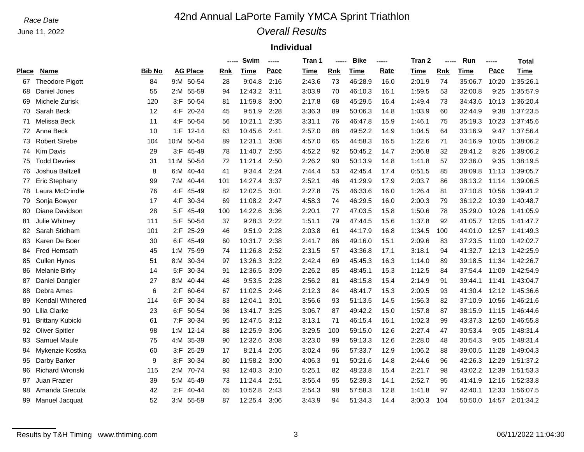# Race Date **Annual LaPorte Family YMCA Sprint Triathlon**

## *Overall Results*

### **Individual**

|       |                         |               |            |                 | -----      | Swim    | ----- | Tran 1 | -----      | <b>Bike</b> | -----       | Tran 2 | -----      | Run     | ----- | Total           |
|-------|-------------------------|---------------|------------|-----------------|------------|---------|-------|--------|------------|-------------|-------------|--------|------------|---------|-------|-----------------|
| Place | <b>Name</b>             | <b>Bib No</b> |            | <b>AG Place</b> | <b>Rnk</b> | Time    | Pace  | Time   | <b>Rnk</b> | Time        | <b>Rate</b> | Time   | <b>Rnk</b> | Time    | Pace  | Time            |
| 67    | <b>Theodore Pigott</b>  | 84            |            | 9:M 50-54       | 28         | 9:04.8  | 2:16  | 2:43.6 | 73         | 46:28.9     | 16.0        | 2:01.9 | 74         | 35:06.7 | 10:20 | 1:35:26.1       |
| 68    | Daniel Jones            | 55            |            | 2:M 55-59       | 94         | 12:43.2 | 3:11  | 3:03.9 | 70         | 46:10.3     | 16.1        | 1:59.5 | 53         | 32:00.8 | 9:25  | 1:35:57.9       |
| 69    | Michele Zurisk          | 120           | $3:$ F     | 50-54           | 81         | 11:59.8 | 3:00  | 2:17.8 | 68         | 45:29.5     | 16.4        | 1:49.4 | 73         | 34:43.6 | 10:13 | 1:36:20.4       |
| 70    | Sarah Beck              | 12            | 4:F        | $20 - 24$       | 45         | 9:51.9  | 2:28  | 3:36.3 | 89         | 50:06.3     | 14.8        | 1:03.9 | 60         | 32:44.9 | 9:38  | 1:37:23.5       |
| 71    | Melissa Beck            | 11            | 4:F        | 50-54           | 56         | 10:21.1 | 2:35  | 3:31.1 | 76         | 46:47.8     | 15.9        | 1:46.1 | 75         | 35:19.3 | 10:23 | 1:37:45.6       |
| 72    | Anna Beck               | 10            |            | $1: F 12-14$    | 63         | 10:45.6 | 2:41  | 2:57.0 | 88         | 49:52.2     | 14.9        | 1:04.5 | 64         | 33:16.9 | 9:47  | 1:37:56.4       |
| 73    | <b>Robert Strebe</b>    | 104           | 10:M 50-54 |                 | 89         | 12:31.1 | 3:08  | 4:57.0 | 65         | 44:58.3     | 16.5        | 1:22.6 | 71         | 34:16.9 | 10:05 | 1:38:06.2       |
| 74    | <b>Kim Davis</b>        | 29            |            | 3:F 45-49       | 78         | 11:40.7 | 2:55  | 4:52.2 | 92         | 50:45.2     | 14.7        | 2:06.8 | 32         | 28:41.2 | 8:26  | 1:38:06.2       |
| 75    | <b>Todd Devries</b>     | 31            | 11:M 50-54 |                 | 72         | 11:21.4 | 2:50  | 2:26.2 | 90         | 50:13.9     | 14.8        | 1:41.8 | 57         | 32:36.0 | 9:35  | 1:38:19.5       |
| 76    | Joshua Baltzell         | 8             | 6:M        | 40-44           | 41         | 9:34.4  | 2:24  | 7:44.4 | 53         | 42:45.4     | 17.4        | 0:51.5 | 85         | 38:09.8 | 11:13 | 1:39:05.7       |
| 77    | Eric Stephany           | 99            | 7:M        | 40-44           | 101        | 14:27.4 | 3:37  | 2:52.1 | 46         | 41:29.9     | 17.9        | 2:03.7 | 86         | 38:13.2 | 11:14 | 1:39:06.5       |
| 78    | Laura McCrindle         | 76            | $4:$ F     | 45-49           | 82         | 12:02.5 | 3:01  | 2:27.8 | 75         | 46:33.6     | 16.0        | 1:26.4 | 81         | 37:10.8 | 10:56 | 1:39:41.2       |
| 79    | Sonja Bowyer            | 17            | $4:$ F     | 30-34           | 69         | 11:08.2 | 2:47  | 4:58.3 | 74         | 46:29.5     | 16.0        | 2:00.3 | 79         | 36:12.2 | 10:39 | 1:40:48.7       |
| 80    | Diane Davidson          | 28            |            | 5:F 45-49       | 100        | 14:22.6 | 3:36  | 2:20.1 | 77         | 47:03.5     | 15.8        | 1:50.6 | 78         | 35:29.0 | 10:26 | 1:41:05.9       |
| 81    | Julie Whitney           | 111           | $5:$ F     | 50-54           | 37         | 9:28.3  | 2:22  | 1:51.1 | 79         | 47:44.5     | 15.6        | 1:37.8 | 92         | 41:05.7 | 12:05 | 1:41:47.7       |
| 82    | Sarah Stidham           | 101           | $2:$ F     | 25-29           | 46         | 9:51.9  | 2:28  | 2:03.8 | 61         | 44:17.9     | 16.8        | 1:34.5 | 100        | 44:01.0 |       | 12:57 1:41:49.3 |
| 83    | Karen De Boer           | 30            | 6:F        | 45-49           | 60         | 10:31.7 | 2:38  | 2:41.7 | 86         | 49:16.0     | 15.1        | 2:09.6 | 83         | 37:23.5 | 11:00 | 1:42:02.7       |
| 84    | <b>Fred Hemsath</b>     | 45            | 1:M        | 75-99           | 74         | 11:26.8 | 2:52  | 2:31.5 | 57         | 43:36.8     | 17.1        | 3:18.1 | 94         | 41:32.7 | 12:13 | 1:42:25.9       |
| 85    | <b>Cullen Hynes</b>     | 51            | 8:M        | 30-34           | 97         | 13:26.3 | 3:22  | 2:42.4 | 69         | 45:45.3     | 16.3        | 1:14.0 | 89         | 39:18.5 | 11:34 | 1:42:26.7       |
| 86    | <b>Melanie Birky</b>    | 14            | $5:$ F     | 30-34           | 91         | 12:36.5 | 3:09  | 2:26.2 | 85         | 48:45.1     | 15.3        | 1:12.5 | 84         | 37:54.4 | 11:09 | 1:42:54.9       |
| 87    | Daniel Dangler          | 27            | 8:M        | 40-44           | 48         | 9:53.5  | 2:28  | 2:56.2 | 81         | 48:15.8     | 15.4        | 2:14.9 | 91         | 39:44.1 | 11:41 | 1:43:04.7       |
| 88    | Debra Ames              | 6             | $2:$ F     | 60-64           | 67         | 11:02.5 | 2:46  | 2:12.3 | 84         | 48:41.7     | 15.3        | 2:09.5 | 93         | 41:30.4 | 12:12 | 1:45:36.6       |
| 89    | Kendall Withered        | 114           | 6:F        | 30-34           | 83         | 12:04.1 | 3:01  | 3:56.6 | 93         | 51:13.5     | 14.5        | 1:56.3 | 82         | 37:10.9 | 10:56 | 1:46:21.6       |
| 90    | Lilia Clarke            | 23            | 6:F        | 50-54           | 98         | 13:41.7 | 3:25  | 3:06.7 | 87         | 49:42.2     | 15.0        | 1:57.8 | 87         | 38:15.9 | 11:15 | 1:46:44.6       |
| 91    | <b>Brittany Kubicki</b> | 61            | $7:$ F     | 30-34           | 95         | 12:47.5 | 3:12  | 3:13.1 | 71         | 46:15.4     | 16.1        | 1:02.3 | 99         | 43:37.3 | 12:50 | 1:46:55.8       |
| 92    | <b>Oliver Spitler</b>   | 98            | 1:M        | 12-14           | 88         | 12:25.9 | 3:06  | 3:29.5 | 100        | 59:15.0     | 12.6        | 2:27.4 | 47         | 30:53.4 | 9:05  | 1:48:31.4       |
| 93    | Samuel Maule            | 75            | 4:M        | 35-39           | 90         | 12:32.6 | 3:08  | 3:23.0 | 99         | 59:13.3     | 12.6        | 2:28.0 | 48         | 30:54.3 | 9:05  | 1:48:31.4       |
| 94    | Mykenzie Kostka         | 60            | $3:$ F     | 25-29           | 17         | 8:21.4  | 2:05  | 3:02.4 | 96         | 57:33.7     | 12.9        | 1:06.2 | 88         | 39:00.5 | 11:28 | 1:49:04.3       |
| 95    | Darby Barker            | 9             | $8:$ F     | 30-34           | 80         | 11:58.2 | 3:00  | 4:06.3 | 91         | 50:21.6     | 14.8        | 2:44.6 | 96         | 42:26.3 | 12:29 | 1:51:37.2       |
| 96    | <b>Richard Wronski</b>  | 115           |            | 2:M 70-74       | 93         | 12:40.3 | 3:10  | 5:25.1 | 82         | 48:23.8     | 15.4        | 2:21.7 | 98         | 43:02.2 | 12:39 | 1:51:53.3       |
| 97    | Juan Frazier            | 39            |            | 5:M 45-49       | 73         | 11:24.4 | 2:51  | 3:55.4 | 95         | 52:39.3     | 14.1        | 2:52.7 | 95         | 41:41.9 | 12:16 | 1:52:33.8       |
| 98    | Amanda Grecula          | 42            | $2:$ F     | 40-44           | 65         | 10:52.8 | 2:43  | 2:54.3 | 98         | 57:58.3     | 12.8        | 1:41.8 | 97         | 42:40.1 | 12:33 | 1:56:07.5       |
| 99    | Manuel Jacquat          | 52            | 3:M        | 55-59           | 87         | 12:25.4 | 3:06  | 3:43.9 | 94         | 51:34.3     | 14.4        | 3:00.3 | 104        | 50:50.0 | 14:57 | 2:01:34.2       |